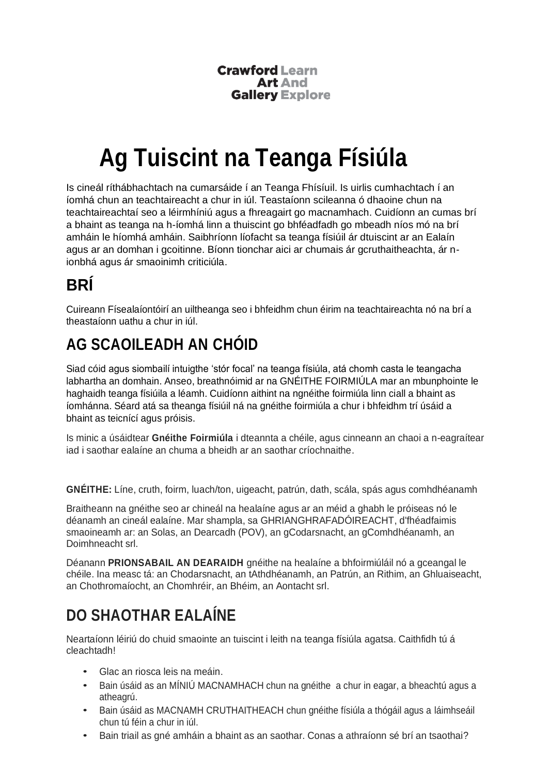**Crawford Learn Art And Gallery Explore** 

# **Ag Tuiscint na Teanga Físiúla**

Is cineál ríthábhachtach na cumarsáide í an Teanga Fhísíuil. Is uirlis cumhachtach í an íomhá chun an teachtaireacht a chur in iúl. Teastaíonn scileanna ó dhaoine chun na teachtaireachtaí seo a léirmhíniú agus a fhreagairt go macnamhach. Cuidíonn an cumas brí a bhaint as teanga na h-íomhá linn a thuiscint go bhféadfadh go mbeadh níos mó na brí amháin le híomhá amháin. Saibhríonn líofacht sa teanga físiúil ár dtuiscint ar an Ealaín agus ar an domhan i gcoitinne. Bíonn tionchar aici ar chumais ár gcruthaitheachta, ár nionbhá agus ár smaoinimh criticiúla.

#### **BRÍ**

Cuireann Físealaíontóirí an uiltheanga seo i bhfeidhm chun éirim na teachtaireachta nó na brí a theastaíonn uathu a chur in iúl.

#### **AG SCAOILEADH AN CHÓID**

Siad cóid agus siombailí intuigthe 'stór focal' na teanga físiúla, atá chomh casta le teangacha labhartha an domhain. Anseo, breathnóimid ar na GNÉITHE FOIRMIÚLA mar an mbunphointe le haghaidh teanga físiúila a léamh. Cuidíonn aithint na ngnéithe foirmiúla linn ciall a bhaint as íomhánna. Séard atá sa theanga físiúil ná na gnéithe foirmiúla a chur i bhfeidhm trí úsáid a bhaint as teicnící agus próisis.

Is minic a úsáidtear **Gnéithe Foirmiúla** i dteannta a chéile, agus cinneann an chaoi a n-eagraítear iad i saothar ealaíne an chuma a bheidh ar an saothar críochnaithe.

**GNÉITHE:** Líne, cruth, foirm, luach/ton, uigeacht, patrún, dath, scála, spás agus comhdhéanamh

Braitheann na gnéithe seo ar chineál na healaíne agus ar an méid a ghabh le próiseas nó le déanamh an cineál ealaíne. Mar shampla, sa GHRIANGHRAFADÓIREACHT, d'fhéadfaimis smaoineamh ar: an Solas, an Dearcadh (POV), an gCodarsnacht, an gComhdhéanamh, an Doimhneacht srl.

Déanann **PRIONSABAIL AN DEARAIDH** gnéithe na healaíne a bhfoirmiúláil nó a gceangal le chéile. Ina measc tá: an Chodarsnacht, an tAthdhéanamh, an Patrún, an Rithim, an Ghluaiseacht, an Chothromaíocht, an Chomhréir, an Bhéim, an Aontacht srl.

### **DO SHAOTHAR EALAÍNE**

Neartaíonn léiriú do chuid smaointe an tuiscint i leith na teanga físiúla agatsa. Caithfidh tú á cleachtadh!

- Glac an riosca leis na meáin.
- Bain úsáid as an MÍNIÚ MACNAMHACH chun na gnéithe a chur in eagar, a bheachtú agus a atheagrú.
- Bain úsáid as MACNAMH CRUTHAITHEACH chun gnéithe físiúla a thógáil agus a láimhseáil chun tú féin a chur in iúl.
- Bain triail as gné amháin a bhaint as an saothar. Conas a athraíonn sé brí an tsaothai?